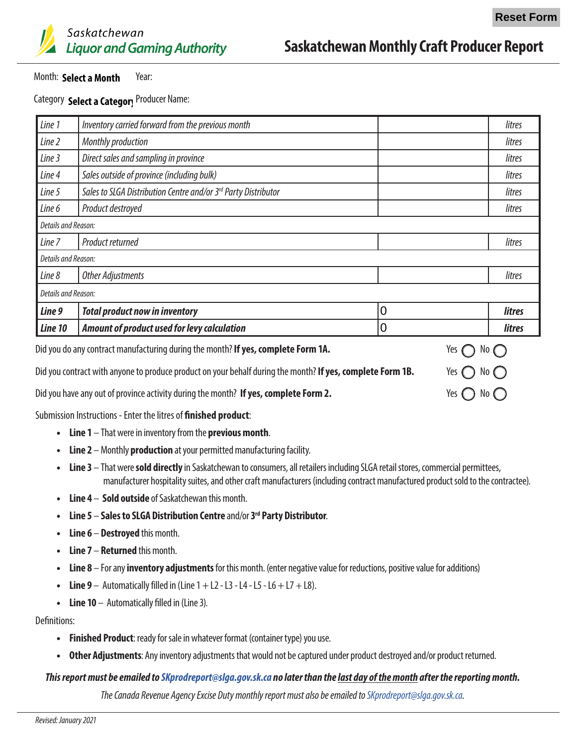

## **Saskatchewan Monthly Craft Producer Report**

#### Month: Select a Month Year:

Month: S**elect a Month** Year:<br>Category S**elect a Categor**y <sup>Producer Name:</sup>

| Line 1                                                                                                                  | Inventory carried forward from the previous month              |                | litres        |  |
|-------------------------------------------------------------------------------------------------------------------------|----------------------------------------------------------------|----------------|---------------|--|
| Line 2                                                                                                                  | Monthly production                                             |                | litres        |  |
| Line 3                                                                                                                  | Direct sales and sampling in province                          |                | litres        |  |
| Line 4                                                                                                                  | Sales outside of province (including bulk)                     |                | litres        |  |
| Line 5                                                                                                                  | Sales to SLGA Distribution Centre and/or 3rd Party Distributor |                | litres        |  |
| Line 6                                                                                                                  | Product destroyed                                              |                | litres        |  |
| Details and Reason:                                                                                                     |                                                                |                |               |  |
| Line 7                                                                                                                  | Product returned                                               |                | litres        |  |
| Details and Reason:                                                                                                     |                                                                |                |               |  |
| Line 8                                                                                                                  | <b>Other Adjustments</b>                                       |                | litres        |  |
| Details and Reason:                                                                                                     |                                                                |                |               |  |
| Line 9                                                                                                                  | <b>Total product now in inventory</b>                          | $\overline{0}$ | <b>litres</b> |  |
| Line 10                                                                                                                 | Amount of product used for levy calculation                    | 0              | litres        |  |
| Yes $\ell$<br>Did you do any contract manufacturing during the month? If yes complete Form 1A<br>$\bigcap$ No $\bigcap$ |                                                                |                |               |  |

| <b>214 you as any contract managedumly admit the months is yest completed forms into</b>                   | $\sim$ $\cup$ $\sim$ $\sim$  |
|------------------------------------------------------------------------------------------------------------|------------------------------|
| Did you contract with anyone to produce product on your behalf during the month? If yes, complete Form 1B. | Yes $\bigcap$ No $\bigcap$   |
| Did you have any out of province activity during the month? If yes, complete Form 2.                       | Yes $\bigcirc$ No $\bigcirc$ |

Submission Instructions - Enter the litres of **finished product**:

- **• Line 1** That were in inventory from the **previous month**.
- **• Line 2** Monthly **production** at your permitted manufacturing facility.
- **• Line 3** That were **sold directly** in Saskatchewan to consumers, all retailers including SLGA retail stores, commercial permittees, manufacturer hospitality suites, and other craft manufacturers (including contract manufactured product sold to the contractee).
- **• Line 4 Sold outside** of Saskatchewan this month.
- **• Line 5 Sales to SLGA Distribution Centre** and/or **3rd Party Distributor**.
- **• Line 6 Destroyed** this month.
- **• Line 7 Returned** this month.
- **• Line 8** For any **inventory adjustments** for this month. (enter negative value for reductions, positive value for additions)
- Line  $9 -$  Automatically filled in (Line  $1 + 12 13 14 15 16 + 17 + 18$ ).
- **• Line 10** Automatically filled in (Line 3).

Definitions:

- **• Finished Product**: ready for sale in whatever format (container type) you use.
- **• Other Adjustments**: Any inventory adjustments that would not be captured under product destroyed and/or product returned.

#### *This report must be emailed to [SKprodreport@slga.gov.sk.ca](mailto:SKprodreport@slga.gov.sk.ca) no later than the last day of the month after the reporting month.*

*The Canada Revenue Agency Excise Duty monthly report must also be emailed to [SKprodreport@slga.gov.sk.ca.](mailto:SKprodreport@slga.gov.sk.ca)*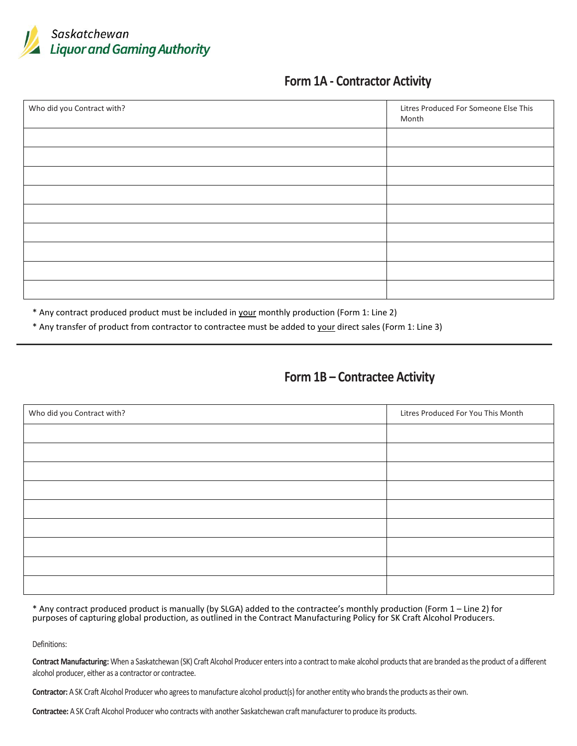

## **Form 1A - Contractor Activity**

| Who did you Contract with? | Litres Produced For Someone Else This<br>Month |
|----------------------------|------------------------------------------------|
|                            |                                                |
|                            |                                                |
|                            |                                                |
|                            |                                                |
|                            |                                                |
|                            |                                                |
|                            |                                                |
|                            |                                                |
|                            |                                                |

\* Any contract produced product must be included in your monthly production (Form 1: Line 2)

\* Any transfer of product from contractor to contractee must be added to your direct sales (Form 1: Line 3)

## **Form 1B – Contractee Activity**

| Who did you Contract with? | Litres Produced For You This Month |  |
|----------------------------|------------------------------------|--|
|                            |                                    |  |
|                            |                                    |  |
|                            |                                    |  |
|                            |                                    |  |
|                            |                                    |  |
|                            |                                    |  |
|                            |                                    |  |
|                            |                                    |  |
|                            |                                    |  |

\* Any contract produced product is manually (by SLGA) added to the contractee's monthly production (Form 1 – Line 2) for purposes of capturing global production, as outlined in the Contract Manufacturing Policy for SK Craft Alcohol Producers.

Definitions:

**Contract Manufacturing:** When a Saskatchewan (SK) Craft Alcohol Producer enters into a contract to make alcohol products that are branded as the product of a different alcohol producer, either as a contractor or contractee.

**Contractor:** A SK Craft Alcohol Producer who agrees to manufacture alcohol product(s) for another entity who brands the products as their own.

**Contractee:** A SK Craft Alcohol Producer who contracts with another Saskatchewan craft manufacturer to produce its products.